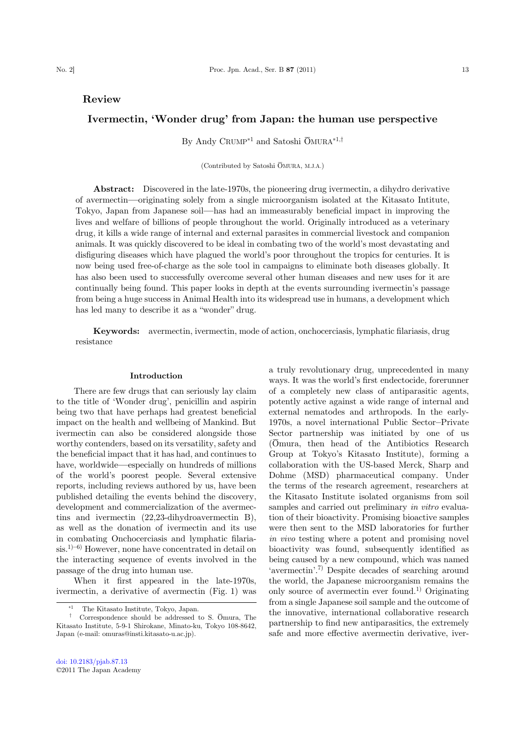## Review

# Ivermectin, 'Wonder drug' from Japan: the human use perspective

By Andy CRUMP<sup>\*1</sup> and Satoshi  $\overline{O}$ MURA<sup>\*1,†</sup>

(Contributed by Satoshi ŌMURA, M.J.A.)

Abstract: Discovered in the late-1970s, the pioneering drug ivermectin, a dihydro derivative of avermectin—originating solely from a single microorganism isolated at the Kitasato Intitute, Tokyo, Japan from Japanese soil—has had an immeasurably beneficial impact in improving the lives and welfare of billions of people throughout the world. Originally introduced as a veterinary drug, it kills a wide range of internal and external parasites in commercial livestock and companion animals. It was quickly discovered to be ideal in combating two of the world's most devastating and disfiguring diseases which have plagued the world's poor throughout the tropics for centuries. It is now being used free-of-charge as the sole tool in campaigns to eliminate both diseases globally. It has also been used to successfully overcome several other human diseases and new uses for it are continually being found. This paper looks in depth at the events surrounding ivermectin's passage from being a huge success in Animal Health into its widespread use in humans, a development which has led many to describe it as a "wonder" drug.

Keywords: avermectin, ivermectin, mode of action, onchocerciasis, lymphatic filariasis, drug resistance

#### Introduction

There are few drugs that can seriously lay claim to the title of 'Wonder drug', penicillin and aspirin being two that have perhaps had greatest beneficial impact on the health and wellbeing of Mankind. But ivermectin can also be considered alongside those worthy contenders, based on its versatility, safety and the beneficial impact that it has had, and continues to have, worldwide—especially on hundreds of millions of the world's poorest people. Several extensive reports, including reviews authored by us, have been published detailing the events behind the discovery, development and commercialization of the avermectins and ivermectin (22,23-dihydroavermectin B), as well as the donation of ivermectin and its use in combating Onchocerciasis and lymphatic filaria $s$ is.<sup>1)–6)</sup> However, none have concentrated in detail on the interacting sequence of events involved in the passage of the drug into human use.

When it first appeared in the late-1970s, ivermectin, a derivative of avermectin (Fig. 1) was

ways. It was the world's first endectocide, forerunner of a completely new class of antiparasitic agents, potently active against a wide range of internal and external nematodes and arthropods. In the early-1970s, a novel international Public Sector–Private Sector partnership was initiated by one of us (Ōmura, then head of the Antibiotics Research Group at Tokyo's Kitasato Institute), forming a collaboration with the US-based Merck, Sharp and Dohme (MSD) pharmaceutical company. Under the terms of the research agreement, researchers at the Kitasato Institute isolated organisms from soil samples and carried out preliminary in vitro evaluation of their bioactivity. Promising bioactive samples were then sent to the MSD laboratories for further in vivo testing where a potent and promising novel bioactivity was found, subsequently identified as being caused by a new compound, which was named 'avermectin'. 7) Despite decades of searching around the world, the Japanese microorganism remains the only source of avermectin ever found.1) Originating from a single Japanese soil sample and the outcome of the innovative, international collaborative research partnership to find new antiparasitics, the extremely safe and more effective avermectin derivative, iver-

a truly revolutionary drug, unprecedented in many

The Kitasato Institute, Tokyo, Japan.

<sup>†</sup> Correspondence should be addressed to S. Ōmura, The Kitasato Institute, 5-9-1 Shirokane, Minato-ku, Tokyo 108-8642, Japan (e-mail: omuras@insti.kitasato-u.ac.jp).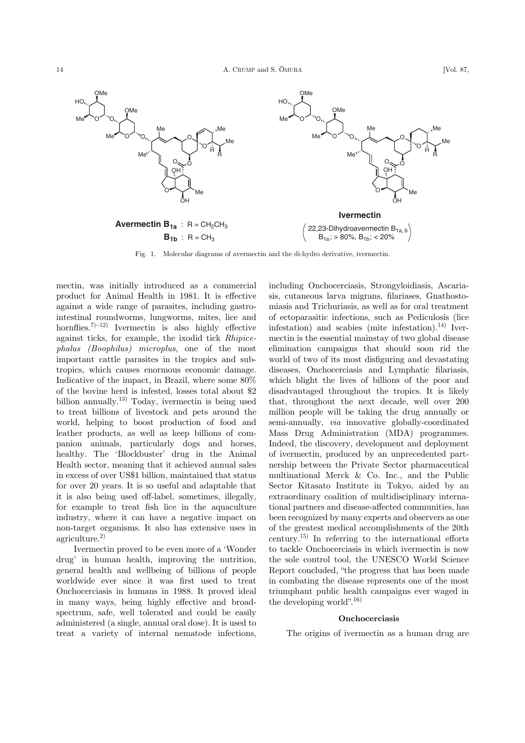

Fig. 1. Molecular diagrams of avermectin and the di-hydro derivative, ivermectin.

mectin, was initially introduced as a commercial product for Animal Health in 1981. It is effective against a wide range of parasites, including gastrointestinal roundworms, lungworms, mites, lice and hornflies.<sup>7 $(-12)$ </sup> Ivermectin is also highly effective against ticks, for example, the ixodid tick Rhipicephalus (Boophilus) microplus, one of the most important cattle parasites in the tropics and subtropics, which causes enormous economic damage. Indicative of the impact, in Brazil, where some 80% of the bovine herd is infested, losses total about \$2 billion annually.<sup>13)</sup> Today, ivermectin is being used to treat billions of livestock and pets around the world, helping to boost production of food and leather products, as well as keep billions of companion animals, particularly dogs and horses, healthy. The 'Blockbuster' drug in the Animal Health sector, meaning that it achieved annual sales in excess of over US\$1 billion, maintained that status for over 20 years. It is so useful and adaptable that it is also being used off-label, sometimes, illegally, for example to treat fish lice in the aquaculture industry, where it can have a negative impact on non-target organisms. It also has extensive uses in agriculture.2)

Ivermectin proved to be even more of a 'Wonder drug' in human health, improving the nutrition, general health and wellbeing of billions of people worldwide ever since it was first used to treat Onchocerciasis in humans in 1988. It proved ideal in many ways, being highly effective and broadspectrum, safe, well tolerated and could be easily administered (a single, annual oral dose). It is used to treat a variety of internal nematode infections,

including Onchocerciasis, Strongyloidiasis, Ascariasis, cutaneous larva migrans, filariases, Gnathostomiasis and Trichuriasis, as well as for oral treatment of ectoparasitic infections, such as Pediculosis (lice infestation) and scabies (mite infestation).<sup>14)</sup> Ivermectin is the essential mainstay of two global disease elimination campaigns that should soon rid the world of two of its most disfiguring and devastating diseases, Onchocerciasis and Lymphatic filariasis, which blight the lives of billions of the poor and disadvantaged throughout the tropics. It is likely that, throughout the next decade, well over 200 million people will be taking the drug annually or semi-annually, via innovative globally-coordinated Mass Drug Administration (MDA) programmes. Indeed, the discovery, development and deployment of ivermectin, produced by an unprecedented partnership between the Private Sector pharmaceutical multinational Merck & Co. Inc., and the Public Sector Kitasato Institute in Tokyo, aided by an extraordinary coalition of multidisciplinary international partners and disease-affected communities, has been recognized by many experts and observers as one of the greatest medical accomplishments of the 20th century.15) In referring to the international efforts to tackle Onchocerciasis in which ivermectin is now the sole control tool, the UNESCO World Science Report concluded, "the progress that has been made in combating the disease represents one of the most triumphant public health campaigns ever waged in the developing world". 16)

#### Onchocerciasis

The origins of ivermectin as a human drug are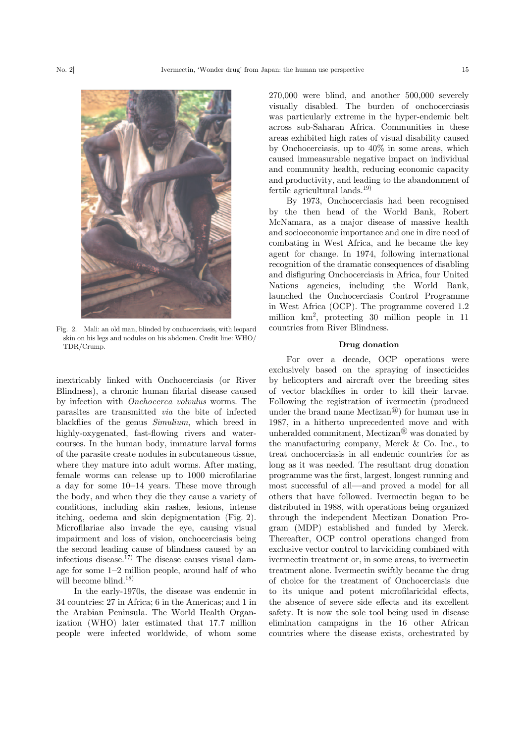

Fig. 2. Mali: an old man, blinded by onchocerciasis, with leopard

skin on his legs and nodules on his abdomen. Credit line: WHO/ TDR/Crump.

inextricably linked with Onchocerciasis (or River Blindness), a chronic human filarial disease caused by infection with Onchocerca volvulus worms. The parasites are transmitted via the bite of infected blackflies of the genus Simulium, which breed in highly-oxygenated, fast-flowing rivers and watercourses. In the human body, immature larval forms of the parasite create nodules in subcutaneous tissue, where they mature into adult worms. After mating, female worms can release up to 1000 microfilariae a day for some 10–14 years. These move through the body, and when they die they cause a variety of conditions, including skin rashes, lesions, intense itching, oedema and skin depigmentation (Fig. 2). Microfilariae also invade the eye, causing visual impairment and loss of vision, onchocerciasis being the second leading cause of blindness caused by an infectious disease.<sup>17)</sup> The disease causes visual damage for some 1–2 million people, around half of who will become blind.<sup>18)</sup>

In the early-1970s, the disease was endemic in 34 countries: 27 in Africa; 6 in the Americas; and 1 in the Arabian Peninsula. The World Health Organization (WHO) later estimated that 17.7 million people were infected worldwide, of whom some

270,000 were blind, and another 500,000 severely visually disabled. The burden of onchocerciasis was particularly extreme in the hyper-endemic belt across sub-Saharan Africa. Communities in these areas exhibited high rates of visual disability caused by Onchocerciasis, up to 40% in some areas, which caused immeasurable negative impact on individual and community health, reducing economic capacity and productivity, and leading to the abandonment of fertile agricultural lands.<sup>19)</sup>

By 1973, Onchocerciasis had been recognised by the then head of the World Bank, Robert McNamara, as a major disease of massive health and socioeconomic importance and one in dire need of combating in West Africa, and he became the key agent for change. In 1974, following international recognition of the dramatic consequences of disabling and disfiguring Onchocerciasis in Africa, four United Nations agencies, including the World Bank, launched the Onchocerciasis Control Programme in West Africa (OCP). The programme covered 1.2 million km<sup>2</sup> , protecting 30 million people in 11 countries from River Blindness.

### Drug donation

For over a decade, OCP operations were exclusively based on the spraying of insecticides by helicopters and aircraft over the breeding sites of vector blackflies in order to kill their larvae. Following the registration of ivermectin (produced under the brand name Mectizan<sup>®</sup>) for human use in 1987, in a hitherto unprecedented move and with unheralded commitment, Mectizan® was donated by the manufacturing company, Merck & Co. Inc., to treat onchocerciasis in all endemic countries for as long as it was needed. The resultant drug donation programme was the first, largest, longest running and most successful of all—and proved a model for all others that have followed. Ivermectin began to be distributed in 1988, with operations being organized through the independent Mectizan Donation Program (MDP) established and funded by Merck. Thereafter, OCP control operations changed from exclusive vector control to larviciding combined with ivermectin treatment or, in some areas, to ivermectin treatment alone. Ivermectin swiftly became the drug of choice for the treatment of Onchocerciasis due to its unique and potent microfilaricidal effects, the absence of severe side effects and its excellent safety. It is now the sole tool being used in disease elimination campaigns in the 16 other African countries where the disease exists, orchestrated by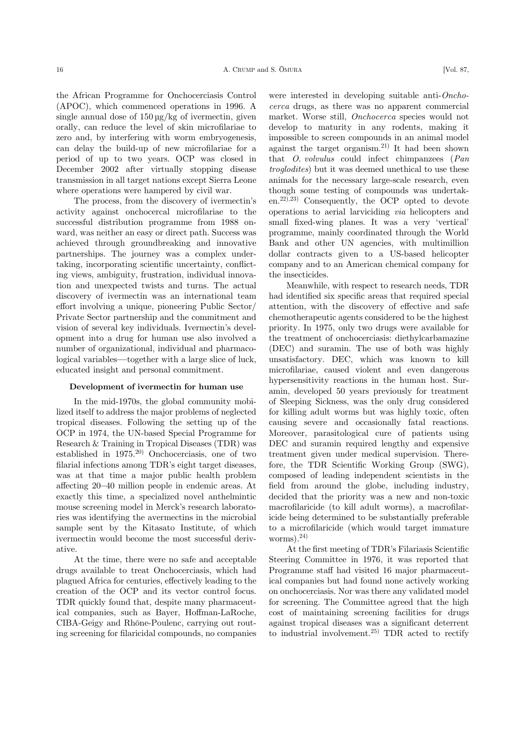the African Programme for Onchocerciasis Control (APOC), which commenced operations in 1996. A single annual dose of  $150 \mu g/kg$  of ivermectin, given orally, can reduce the level of skin microfilariae to zero and, by interfering with worm embryogenesis, can delay the build-up of new microfilariae for a period of up to two years. OCP was closed in December 2002 after virtually stopping disease transmission in all target nations except Sierra Leone where operations were hampered by civil war.

The process, from the discovery of ivermectin's activity against onchocercal microfilariae to the successful distribution programme from 1988 onward, was neither an easy or direct path. Success was achieved through groundbreaking and innovative partnerships. The journey was a complex undertaking, incorporating scientific uncertainty, conflicting views, ambiguity, frustration, individual innovation and unexpected twists and turns. The actual discovery of ivermectin was an international team effort involving a unique, pioneering Public Sector/ Private Sector partnership and the commitment and vision of several key individuals. Ivermectin's development into a drug for human use also involved a number of organizational, individual and pharmacological variables—together with a large slice of luck, educated insight and personal commitment.

### Development of ivermectin for human use

In the mid-1970s, the global community mobilized itself to address the major problems of neglected tropical diseases. Following the setting up of the OCP in 1974, the UN-based Special Programme for Research & Training in Tropical Diseases (TDR) was established in  $1975$ <sup>20)</sup> Onchocerciasis, one of two filarial infections among TDR's eight target diseases, was at that time a major public health problem affecting 20–40 million people in endemic areas. At exactly this time, a specialized novel anthelmintic mouse screening model in Merck's research laboratories was identifying the avermectins in the microbial sample sent by the Kitasato Institute, of which ivermectin would become the most successful derivative.

At the time, there were no safe and acceptable drugs available to treat Onchocerciasis, which had plagued Africa for centuries, effectively leading to the creation of the OCP and its vector control focus. TDR quickly found that, despite many pharmaceutical companies, such as Bayer, Hoffman-LaRoche, CIBA-Geigy and Rhône-Poulenc, carrying out routing screening for filaricidal compounds, no companies

were interested in developing suitable anti-Onchocerca drugs, as there was no apparent commercial market. Worse still, Onchocerca species would not develop to maturity in any rodents, making it impossible to screen compounds in an animal model against the target organism.21) It had been shown that O. volvulus could infect chimpanzees (Pan troglodites) but it was deemed unethical to use these animals for the necessary large-scale research, even though some testing of compounds was undertaken.22),23) Consequently, the OCP opted to devote operations to aerial larviciding via helicopters and small fixed-wing planes. It was a very 'vertical' programme, mainly coordinated through the World Bank and other UN agencies, with multimillion dollar contracts given to a US-based helicopter company and to an American chemical company for the insecticides.

Meanwhile, with respect to research needs, TDR had identified six specific areas that required special attention, with the discovery of effective and safe chemotherapeutic agents considered to be the highest priority. In 1975, only two drugs were available for the treatment of onchocerciasis: diethylcarbamazine (DEC) and suramin. The use of both was highly unsatisfactory. DEC, which was known to kill microfilariae, caused violent and even dangerous hypersensitivity reactions in the human host. Suramin, developed 50 years previously for treatment of Sleeping Sickness, was the only drug considered for killing adult worms but was highly toxic, often causing severe and occasionally fatal reactions. Moreover, parasitological cure of patients using DEC and suramin required lengthy and expensive treatment given under medical supervision. Therefore, the TDR Scientific Working Group (SWG), composed of leading independent scientists in the field from around the globe, including industry, decided that the priority was a new and non-toxic macrofilaricide (to kill adult worms), a macrofilaricide being determined to be substantially preferable to a microfilaricide (which would target immature worms).<sup>24)</sup>

At the first meeting of TDR's Filariasis Scientific Steering Committee in 1976, it was reported that Programme staff had visited 16 major pharmaceutical companies but had found none actively working on onchocerciasis. Nor was there any validated model for screening. The Committee agreed that the high cost of maintaining screening facilities for drugs against tropical diseases was a significant deterrent to industrial involvement.<sup>25)</sup> TDR acted to rectify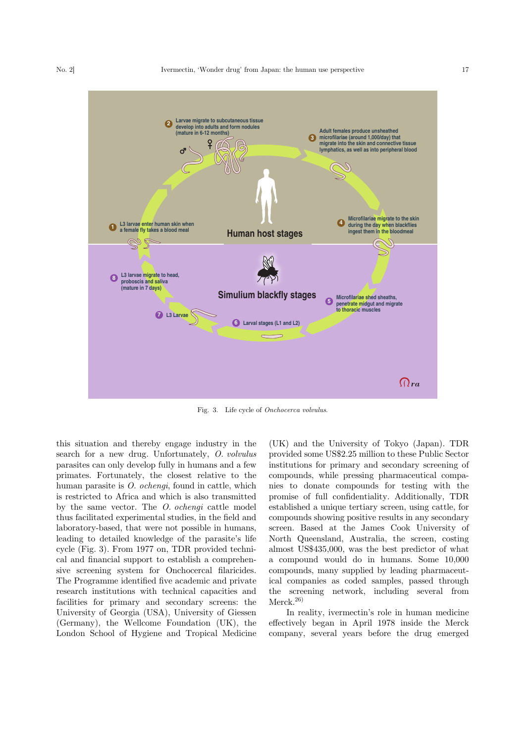

Fig. 3. Life cycle of Onchocerca volvulus.

this situation and thereby engage industry in the search for a new drug. Unfortunately, O. volvulus parasites can only develop fully in humans and a few primates. Fortunately, the closest relative to the human parasite is O. ochengi, found in cattle, which is restricted to Africa and which is also transmitted by the same vector. The O. ochengi cattle model thus facilitated experimental studies, in the field and laboratory-based, that were not possible in humans, leading to detailed knowledge of the parasite's life cycle (Fig. 3). From 1977 on, TDR provided technical and financial support to establish a comprehensive screening system for Onchocercal filaricides. The Programme identified five academic and private research institutions with technical capacities and facilities for primary and secondary screens: the University of Georgia (USA), University of Giessen (Germany), the Wellcome Foundation (UK), the London School of Hygiene and Tropical Medicine

(UK) and the University of Tokyo (Japan). TDR provided some US\$2.25 million to these Public Sector institutions for primary and secondary screening of compounds, while pressing pharmaceutical companies to donate compounds for testing with the promise of full confidentiality. Additionally, TDR established a unique tertiary screen, using cattle, for compounds showing positive results in any secondary screen. Based at the James Cook University of North Queensland, Australia, the screen, costing almost US\$435,000, was the best predictor of what a compound would do in humans. Some 10,000 compounds, many supplied by leading pharmaceutical companies as coded samples, passed through the screening network, including several from  $Merck.<sup>26</sup>$ 

In reality, ivermectin's role in human medicine effectively began in April 1978 inside the Merck company, several years before the drug emerged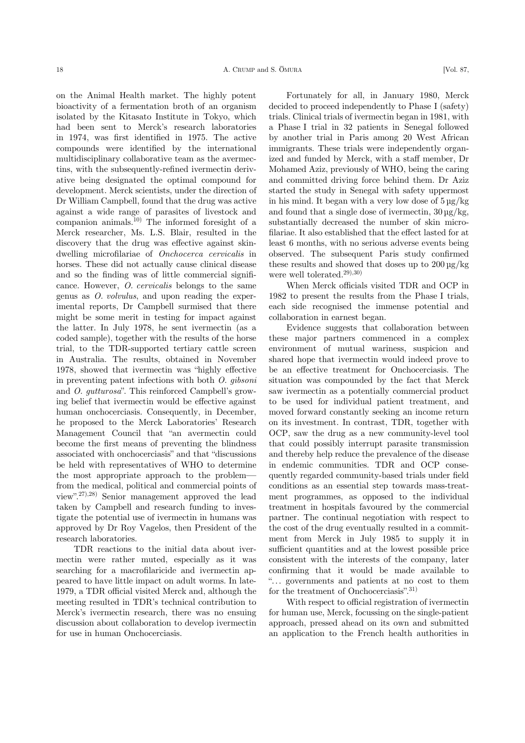on the Animal Health market. The highly potent bioactivity of a fermentation broth of an organism isolated by the Kitasato Institute in Tokyo, which had been sent to Merck's research laboratories in 1974, was first identified in 1975. The active compounds were identified by the international multidisciplinary collaborative team as the avermectins, with the subsequently-refined ivermectin derivative being designated the optimal compound for development. Merck scientists, under the direction of Dr William Campbell, found that the drug was active against a wide range of parasites of livestock and companion animals.<sup>10)</sup> The informed foresight of a Merck researcher, Ms. L.S. Blair, resulted in the discovery that the drug was effective against skindwelling microfilariae of Onchocerca cervicalis in horses. These did not actually cause clinical disease and so the finding was of little commercial significance. However, O. cervicalis belongs to the same genus as O. volvulus, and upon reading the experimental reports, Dr Campbell surmised that there might be some merit in testing for impact against the latter. In July 1978, he sent ivermectin (as a coded sample), together with the results of the horse trial, to the TDR-supported tertiary cattle screen in Australia. The results, obtained in November 1978, showed that ivermectin was "highly effective in preventing patent infections with both O. gibsoni and O. gutturosa". This reinforced Campbell's growing belief that ivermectin would be effective against human onchocerciasis. Consequently, in December, he proposed to the Merck Laboratories' Research Management Council that "an avermectin could become the first means of preventing the blindness associated with onchocerciasis" and that "discussions be held with representatives of WHO to determine the most appropriate approach to the problem from the medical, political and commercial points of view". 27),28) Senior management approved the lead taken by Campbell and research funding to investigate the potential use of ivermectin in humans was approved by Dr Roy Vagelos, then President of the research laboratories.

TDR reactions to the initial data about ivermectin were rather muted, especially as it was searching for a macrofilaricide and ivermectin appeared to have little impact on adult worms. In late-1979, a TDR official visited Merck and, although the meeting resulted in TDR's technical contribution to Merck's ivermectin research, there was no ensuing discussion about collaboration to develop ivermectin for use in human Onchocerciasis.

Fortunately for all, in January 1980, Merck decided to proceed independently to Phase I (safety) trials. Clinical trials of ivermectin began in 1981, with a Phase I trial in 32 patients in Senegal followed by another trial in Paris among 20 West African immigrants. These trials were independently organized and funded by Merck, with a staff member, Dr Mohamed Aziz, previously of WHO, being the caring and committed driving force behind them. Dr Aziz started the study in Senegal with safety uppermost in his mind. It began with a very low dose of  $5 \mu g/kg$ and found that a single dose of ivermectin,  $30 \mu g/kg$ , substantially decreased the number of skin microfilariae. It also established that the effect lasted for at least 6 months, with no serious adverse events being observed. The subsequent Paris study confirmed these results and showed that doses up to  $200 \,\mathrm{µg/kg}$ were well tolerated.<sup>29),30)</sup>

When Merck officials visited TDR and OCP in 1982 to present the results from the Phase I trials, each side recognised the immense potential and collaboration in earnest began.

Evidence suggests that collaboration between these major partners commenced in a complex environment of mutual wariness, suspicion and shared hope that ivermectin would indeed prove to be an effective treatment for Onchocerciasis. The situation was compounded by the fact that Merck saw ivermectin as a potentially commercial product to be used for individual patient treatment, and moved forward constantly seeking an income return on its investment. In contrast, TDR, together with OCP, saw the drug as a new community-level tool that could possibly interrupt parasite transmission and thereby help reduce the prevalence of the disease in endemic communities. TDR and OCP consequently regarded community-based trials under field conditions as an essential step towards mass-treatment programmes, as opposed to the individual treatment in hospitals favoured by the commercial partner. The continual negotiation with respect to the cost of the drug eventually resulted in a commitment from Merck in July 1985 to supply it in sufficient quantities and at the lowest possible price consistent with the interests of the company, later confirming that it would be made available to "... governments and patients at no cost to them for the treatment of Onchocerciasis". 31)

With respect to official registration of ivermectin for human use, Merck, focussing on the single-patient approach, pressed ahead on its own and submitted an application to the French health authorities in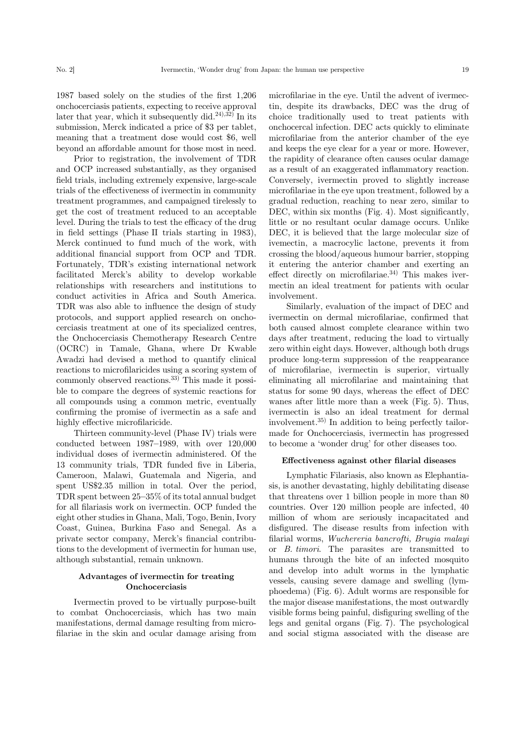1987 based solely on the studies of the first 1,206 onchocerciasis patients, expecting to receive approval later that year, which it subsequently did.<sup>24),32)</sup> In its submission, Merck indicated a price of \$3 per tablet, meaning that a treatment dose would cost \$6, well beyond an affordable amount for those most in need.

Prior to registration, the involvement of TDR and OCP increased substantially, as they organised field trials, including extremely expensive, large-scale trials of the effectiveness of ivermectin in community treatment programmes, and campaigned tirelessly to get the cost of treatment reduced to an acceptable level. During the trials to test the efficacy of the drug in field settings (Phase II trials starting in 1983), Merck continued to fund much of the work, with additional financial support from OCP and TDR. Fortunately, TDR's existing international network facilitated Merck's ability to develop workable relationships with researchers and institutions to conduct activities in Africa and South America. TDR was also able to influence the design of study protocols, and support applied research on onchocerciasis treatment at one of its specialized centres, the Onchocerciasis Chemotherapy Research Centre (OCRC) in Tamale, Ghana, where Dr Kwable Awadzi had devised a method to quantify clinical reactions to microfilaricides using a scoring system of commonly observed reactions.<sup>33)</sup> This made it possible to compare the degrees of systemic reactions for all compounds using a common metric, eventually confirming the promise of ivermectin as a safe and highly effective microfilaricide.

Thirteen community-level (Phase IV) trials were conducted between 1987–1989, with over 120,000 individual doses of ivermectin administered. Of the 13 community trials, TDR funded five in Liberia, Cameroon, Malawi, Guatemala and Nigeria, and spent US\$2.35 million in total. Over the period, TDR spent between 25–35% of its total annual budget for all filariasis work on ivermectin. OCP funded the eight other studies in Ghana, Mali, Togo, Benin, Ivory Coast, Guinea, Burkina Faso and Senegal. As a private sector company, Merck's financial contributions to the development of ivermectin for human use, although substantial, remain unknown.

## Advantages of ivermectin for treating Onchocerciasis

Ivermectin proved to be virtually purpose-built to combat Onchocerciasis, which has two main manifestations, dermal damage resulting from microfilariae in the skin and ocular damage arising from microfilariae in the eye. Until the advent of ivermectin, despite its drawbacks, DEC was the drug of choice traditionally used to treat patients with onchocercal infection. DEC acts quickly to eliminate microfilariae from the anterior chamber of the eye and keeps the eye clear for a year or more. However, the rapidity of clearance often causes ocular damage as a result of an exaggerated inflammatory reaction. Conversely, ivermectin proved to slightly increase microfilariae in the eye upon treatment, followed by a gradual reduction, reaching to near zero, similar to DEC, within six months (Fig. 4). Most significantly, little or no resultant ocular damage occurs. Unlike DEC, it is believed that the large molecular size of ivemectin, a macrocylic lactone, prevents it from crossing the blood/aqueous humour barrier, stopping it entering the anterior chamber and exerting an effect directly on microfilariae. $34)$  This makes ivermectin an ideal treatment for patients with ocular involvement.

Similarly, evaluation of the impact of DEC and ivermectin on dermal microfilariae, confirmed that both caused almost complete clearance within two days after treatment, reducing the load to virtually zero within eight days. However, although both drugs produce long-term suppression of the reappearance of microfilariae, ivermectin is superior, virtually eliminating all microfilariae and maintaining that status for some 90 days, whereas the effect of DEC wanes after little more than a week (Fig. 5). Thus, ivermectin is also an ideal treatment for dermal involvement.35) In addition to being perfectly tailormade for Onchocerciasis, ivermectin has progressed to become a 'wonder drug' for other diseases too.

#### Effectiveness against other filarial diseases

Lymphatic Filariasis, also known as Elephantiasis, is another devastating, highly debilitating disease that threatens over 1 billion people in more than 80 countries. Over 120 million people are infected, 40 million of whom are seriously incapacitated and disfigured. The disease results from infection with filarial worms, Wuchereria bancrofti, Brugia malayi or B. timori. The parasites are transmitted to humans through the bite of an infected mosquito and develop into adult worms in the lymphatic vessels, causing severe damage and swelling (lymphoedema) (Fig. 6). Adult worms are responsible for the major disease manifestations, the most outwardly visible forms being painful, disfiguring swelling of the legs and genital organs (Fig. 7). The psychological and social stigma associated with the disease are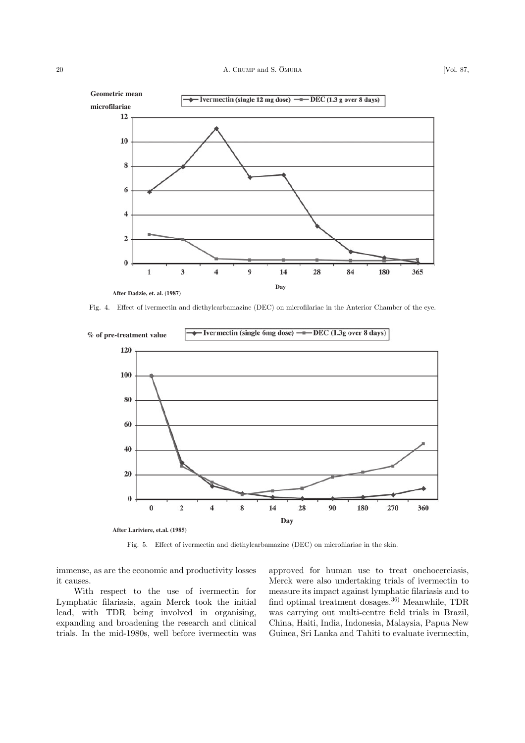

Fig. 4. Effect of ivermectin and diethylcarbamazine (DEC) on microfilariae in the Anterior Chamber of the eye.



Fig. 5. Effect of ivermectin and diethylcarbamazine (DEC) on microfilariae in the skin.

immense, as are the economic and productivity losses it causes.

With respect to the use of ivermectin for Lymphatic filariasis, again Merck took the initial lead, with TDR being involved in organising, expanding and broadening the research and clinical trials. In the mid-1980s, well before ivermectin was approved for human use to treat onchocerciasis, Merck were also undertaking trials of ivermectin to measure its impact against lymphatic filariasis and to find optimal treatment dosages.36) Meanwhile, TDR was carrying out multi-centre field trials in Brazil, China, Haiti, India, Indonesia, Malaysia, Papua New Guinea, Sri Lanka and Tahiti to evaluate ivermectin,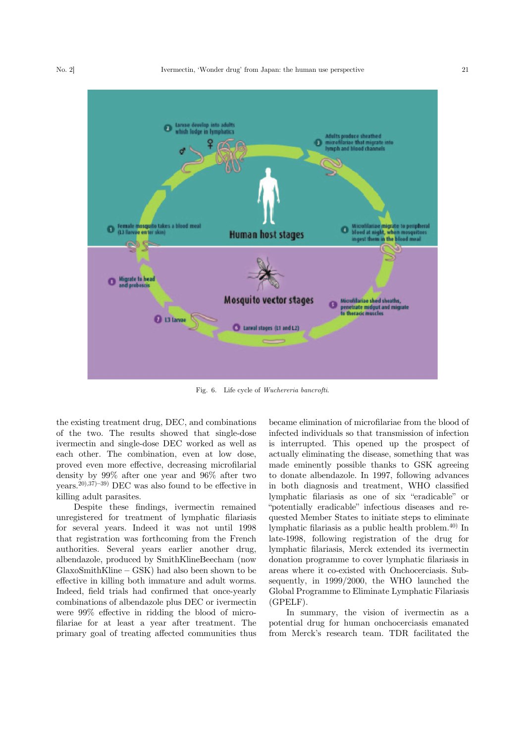

Fig. 6. Life cycle of Wuchereria bancrofti.

the existing treatment drug, DEC, and combinations of the two. The results showed that single-dose ivermectin and single-dose DEC worked as well as each other. The combination, even at low dose, proved even more effective, decreasing microfilarial density by 99% after one year and 96% after two years.<sup>20),37)–39</sup> DEC was also found to be effective in killing adult parasites.

Despite these findings, ivermectin remained unregistered for treatment of lymphatic filariasis for several years. Indeed it was not until 1998 that registration was forthcoming from the French authorities. Several years earlier another drug, albendazole, produced by SmithKlineBeecham (now GlaxoSmithKline – GSK) had also been shown to be effective in killing both immature and adult worms. Indeed, field trials had confirmed that once-yearly combinations of albendazole plus DEC or ivermectin were 99% effective in ridding the blood of microfilariae for at least a year after treatment. The primary goal of treating affected communities thus

became elimination of microfilariae from the blood of infected individuals so that transmission of infection is interrupted. This opened up the prospect of actually eliminating the disease, something that was made eminently possible thanks to GSK agreeing to donate albendazole. In 1997, following advances in both diagnosis and treatment, WHO classified lymphatic filariasis as one of six "eradicable" or "potentially eradicable" infectious diseases and requested Member States to initiate steps to eliminate lymphatic filariasis as a public health problem.40) In late-1998, following registration of the drug for lymphatic filariasis, Merck extended its ivermectin donation programme to cover lymphatic filariasis in areas where it co-existed with Onchocerciasis. Subsequently, in 1999/2000, the WHO launched the Global Programme to Eliminate Lymphatic Filariasis (GPELF).

In summary, the vision of ivermectin as a potential drug for human onchocerciasis emanated from Merck's research team. TDR facilitated the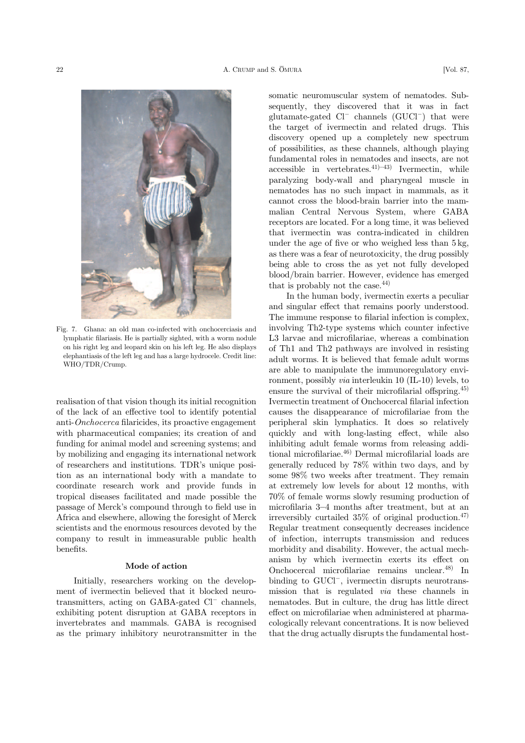

Fig. 7. Ghana: an old man co-infected with onchocerciasis and lymphatic filariasis. He is partially sighted, with a worm nodule on his right leg and leopard skin on his left leg. He also displays elephantiasis of the left leg and has a large hydrocele. Credit line: WHO/TDR/Crump.

realisation of that vision though its initial recognition of the lack of an effective tool to identify potential anti-Onchocerca filaricides, its proactive engagement with pharmaceutical companies; its creation of and funding for animal model and screening systems; and by mobilizing and engaging its international network of researchers and institutions. TDR's unique position as an international body with a mandate to coordinate research work and provide funds in tropical diseases facilitated and made possible the passage of Merck's compound through to field use in Africa and elsewhere, allowing the foresight of Merck scientists and the enormous resources devoted by the company to result in immeasurable public health benefits.

#### Mode of action

Initially, researchers working on the development of ivermectin believed that it blocked neurotransmitters, acting on GABA-gated  $Cl^-$  channels, exhibiting potent disruption at GABA receptors in invertebrates and mammals. GABA is recognised as the primary inhibitory neurotransmitter in the somatic neuromuscular system of nematodes. Subsequently, they discovered that it was in fact glutamate-gated  $Cl^-$  channels  $(GUCl^-)$  that were the target of ivermectin and related drugs. This discovery opened up a completely new spectrum of possibilities, as these channels, although playing fundamental roles in nematodes and insects, are not accessible in vertebrates.<sup>41</sup> $)$ –43<sup>3</sup> Ivermectin, while paralyzing body-wall and pharyngeal muscle in nematodes has no such impact in mammals, as it cannot cross the blood-brain barrier into the mammalian Central Nervous System, where GABA receptors are located. For a long time, it was believed that ivermectin was contra-indicated in children under the age of five or who weighed less than 5 kg, as there was a fear of neurotoxicity, the drug possibly being able to cross the as yet not fully developed blood/brain barrier. However, evidence has emerged that is probably not the case.44)

In the human body, ivermectin exerts a peculiar and singular effect that remains poorly understood. The immune response to filarial infection is complex, involving Th2-type systems which counter infective L3 larvae and microfilariae, whereas a combination of Th1 and Th2 pathways are involved in resisting adult worms. It is believed that female adult worms are able to manipulate the immunoregulatory environment, possibly via interleukin 10 (IL-10) levels, to ensure the survival of their microfilarial offspring.45) Ivermectin treatment of Onchocercal filarial infection causes the disappearance of microfilariae from the peripheral skin lymphatics. It does so relatively quickly and with long-lasting effect, while also inhibiting adult female worms from releasing additional microfilariae.<sup>46)</sup> Dermal microfilarial loads are generally reduced by 78% within two days, and by some 98% two weeks after treatment. They remain at extremely low levels for about 12 months, with 70% of female worms slowly resuming production of microfilaria 3–4 months after treatment, but at an irreversibly curtailed  $35\%$  of original production.<sup>47)</sup> Regular treatment consequently decreases incidence of infection, interrupts transmission and reduces morbidity and disability. However, the actual mechanism by which ivermectin exerts its effect on Onchocercal microfilariae remains unclear.48) In binding to  $GUCl^-$ , ivermectin disrupts neurotransmission that is regulated via these channels in nematodes. But in culture, the drug has little direct effect on microfilariae when administered at pharmacologically relevant concentrations. It is now believed that the drug actually disrupts the fundamental host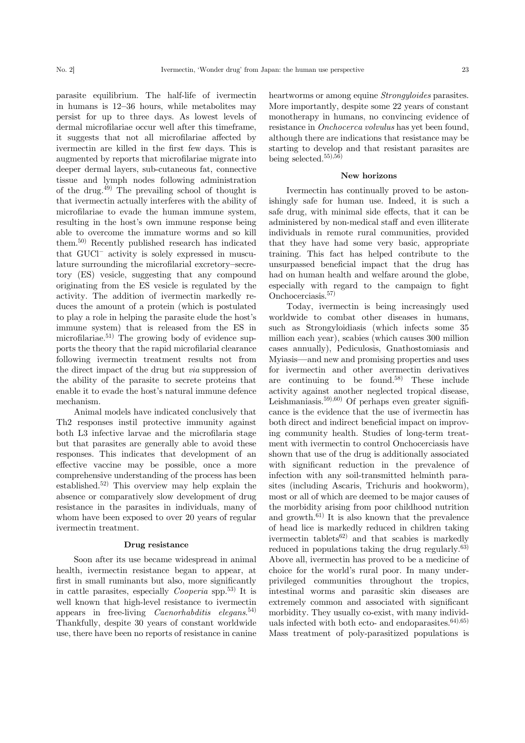parasite equilibrium. The half-life of ivermectin in humans is 12–36 hours, while metabolites may persist for up to three days. As lowest levels of dermal microfilariae occur well after this timeframe, it suggests that not all microfilariae affected by ivermectin are killed in the first few days. This is augmented by reports that microfilariae migrate into deeper dermal layers, sub-cutaneous fat, connective tissue and lymph nodes following administration of the drug.<sup>49)</sup> The prevailing school of thought is that ivermectin actually interferes with the ability of microfilariae to evade the human immune system, resulting in the host's own immune response being able to overcome the immature worms and so kill them.50) Recently published research has indicated that  $GUCl^-$  activity is solely expressed in musculature surrounding the microfilarial excretory–secretory (ES) vesicle, suggesting that any compound originating from the ES vesicle is regulated by the activity. The addition of ivermectin markedly reduces the amount of a protein (which is postulated to play a role in helping the parasite elude the host's immune system) that is released from the ES in microfilariae.<sup>51)</sup> The growing body of evidence supports the theory that the rapid microfilarial clearance following ivermectin treatment results not from the direct impact of the drug but via suppression of the ability of the parasite to secrete proteins that enable it to evade the host's natural immune defence mechanism.

Animal models have indicated conclusively that Th2 responses instil protective immunity against both L3 infective larvae and the microfilaria stage but that parasites are generally able to avoid these responses. This indicates that development of an effective vaccine may be possible, once a more comprehensive understanding of the process has been established.52) This overview may help explain the absence or comparatively slow development of drug resistance in the parasites in individuals, many of whom have been exposed to over 20 years of regular ivermectin treatment.

#### Drug resistance

Soon after its use became widespread in animal health, ivermectin resistance began to appear, at first in small ruminants but also, more significantly in cattle parasites, especially *Cooperia* spp.<sup>53)</sup> It is well known that high-level resistance to ivermectin appears in free-living *Caenorhabditis elegans*.<sup>54)</sup> Thankfully, despite 30 years of constant worldwide use, there have been no reports of resistance in canine heartworms or among equine *Strongyloides* parasites. More importantly, despite some 22 years of constant monotherapy in humans, no convincing evidence of resistance in Onchocerca volvulus has yet been found, although there are indications that resistance may be starting to develop and that resistant parasites are being selected.55),56)

#### New horizons

Ivermectin has continually proved to be astonishingly safe for human use. Indeed, it is such a safe drug, with minimal side effects, that it can be administered by non-medical staff and even illiterate individuals in remote rural communities, provided that they have had some very basic, appropriate training. This fact has helped contribute to the unsurpassed beneficial impact that the drug has had on human health and welfare around the globe, especially with regard to the campaign to fight Onchocerciasis.<sup>57)</sup>

Today, ivermectin is being increasingly used worldwide to combat other diseases in humans, such as Strongyloidiasis (which infects some 35 million each year), scabies (which causes 300 million cases annually), Pediculosis, Gnathostomiasis and Myiasis—and new and promising properties and uses for ivermectin and other avermectin derivatives are continuing to be found.<sup>58)</sup> These include activity against another neglected tropical disease, Leishmaniasis.<sup>59</sup>,<sup>60</sup>) Of perhaps even greater significance is the evidence that the use of ivermectin has both direct and indirect beneficial impact on improving community health. Studies of long-term treatment with ivermectin to control Onchocerciasis have shown that use of the drug is additionally associated with significant reduction in the prevalence of infection with any soil-transmitted helminth parasites (including Ascaris, Trichuris and hookworm), most or all of which are deemed to be major causes of the morbidity arising from poor childhood nutrition and growth.<sup>61)</sup> It is also known that the prevalence of head lice is markedly reduced in children taking ivermectin tablets<sup>62)</sup> and that scabies is markedly reduced in populations taking the drug regularly.<sup>63)</sup> Above all, ivermectin has proved to be a medicine of choice for the world's rural poor. In many underprivileged communities throughout the tropics, intestinal worms and parasitic skin diseases are extremely common and associated with significant morbidity. They usually co-exist, with many individuals infected with both ecto- and endoparasites. $^{64),(65)}$ Mass treatment of poly-parasitized populations is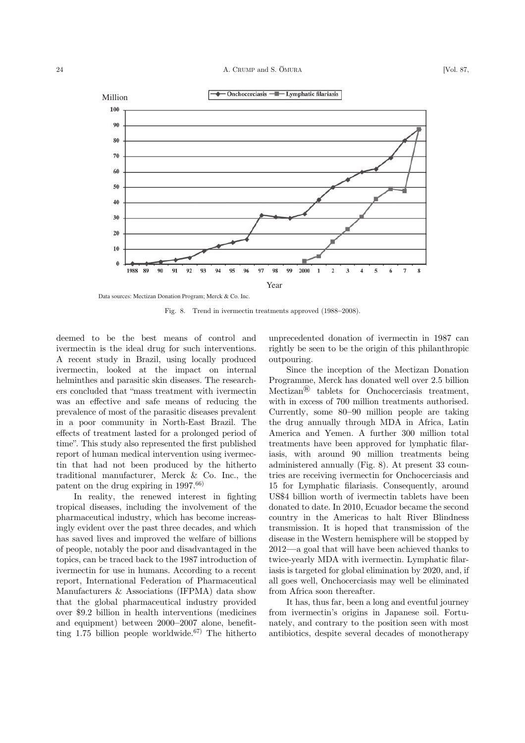

Data sources: Mectizan Donation Program; Merck & Co. Inc.

Fig. 8. Trend in ivermectin treatments approved (1988–2008).

deemed to be the best means of control and ivermectin is the ideal drug for such interventions. A recent study in Brazil, using locally produced ivermectin, looked at the impact on internal helminthes and parasitic skin diseases. The researchers concluded that "mass treatment with ivermectin was an effective and safe means of reducing the prevalence of most of the parasitic diseases prevalent in a poor community in North-East Brazil. The effects of treatment lasted for a prolonged period of time". This study also represented the first published report of human medical intervention using ivermectin that had not been produced by the hitherto traditional manufacturer, Merck & Co. Inc., the patent on the drug expiring in  $1997^{66}$ 

In reality, the renewed interest in fighting tropical diseases, including the involvement of the pharmaceutical industry, which has become increasingly evident over the past three decades, and which has saved lives and improved the welfare of billions of people, notably the poor and disadvantaged in the topics, can be traced back to the 1987 introduction of ivermectin for use in humans. According to a recent report, International Federation of Pharmaceutical Manufacturers & Associations (IFPMA) data show that the global pharmaceutical industry provided over \$9.2 billion in health interventions (medicines and equipment) between 2000–2007 alone, benefitting 1.75 billion people worldwide.<sup>67)</sup> The hitherto unprecedented donation of ivermectin in 1987 can rightly be seen to be the origin of this philanthropic outpouring.

Since the inception of the Mectizan Donation Programme, Merck has donated well over 2.5 billion Mectizan® tablets for Onchocerciasis treatment, with in excess of 700 million treatments authorised. Currently, some 80–90 million people are taking the drug annually through MDA in Africa, Latin America and Yemen. A further 300 million total treatments have been approved for lymphatic filariasis, with around 90 million treatments being administered annually (Fig. 8). At present 33 countries are receiving ivermectin for Onchocerciasis and 15 for Lymphatic filariasis. Consequently, around US\$4 billion worth of ivermectin tablets have been donated to date. In 2010, Ecuador became the second country in the Americas to halt River Blindness transmission. It is hoped that transmission of the disease in the Western hemisphere will be stopped by 2012—a goal that will have been achieved thanks to twice-yearly MDA with ivermectin. Lymphatic filariasis is targeted for global elimination by 2020, and, if all goes well, Onchocerciasis may well be eliminated from Africa soon thereafter.

It has, thus far, been a long and eventful journey from ivermectin's origins in Japanese soil. Fortunately, and contrary to the position seen with most antibiotics, despite several decades of monotherapy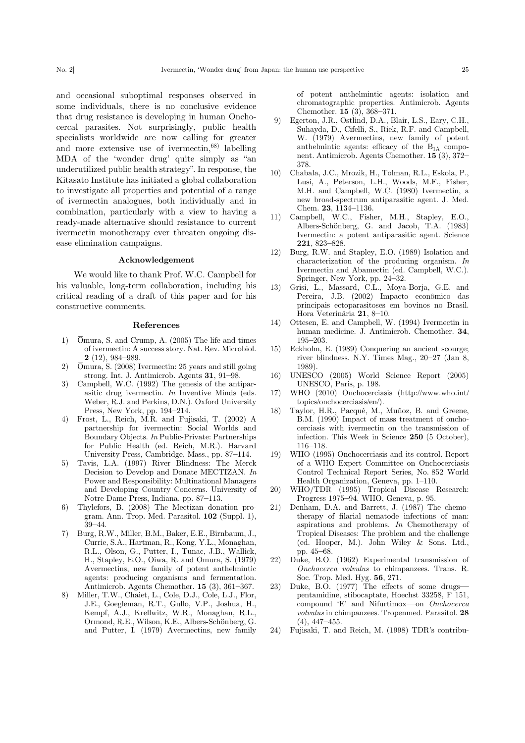and occasional suboptimal responses observed in some individuals, there is no conclusive evidence that drug resistance is developing in human Onchocercal parasites. Not surprisingly, public health specialists worldwide are now calling for greater and more extensive use of ivermectin,68) labelling MDA of the 'wonder drug' quite simply as "an underutilized public health strategy". In response, the Kitasato Institute has initiated a global collaboration to investigate all properties and potential of a range of ivermectin analogues, both individually and in combination, particularly with a view to having a ready-made alternative should resistance to current ivermectin monotherapy ever threaten ongoing disease elimination campaigns.

#### Acknowledgement

We would like to thank Prof. W.C. Campbell for his valuable, long-term collaboration, including his critical reading of a draft of this paper and for his constructive comments.

#### References

- 1) Ōmura, S. and Crump, A. (2005) The life and times of ivermectin: A success story. Nat. Rev. Microbiol. 2 (12), 984–989.
- 2) Ōmura, S. (2008) Ivermectin: 25 years and still going strong. Int. J. Antimicrob. Agents 31, 91–98.
- 3) Campbell, W.C. (1992) The genesis of the antiparasitic drug ivermectin. In Inventive Minds (eds. Weber, R.J. and Perkins, D.N.). Oxford University Press, New York, pp. 194–214.
- 4) Frost, L., Reich, M.R. and Fujisaki, T. (2002) A partnership for ivermectin: Social Worlds and Boundary Objects. In Public-Private: Partnerships for Public Health (ed. Reich, M.R.). Harvard University Press, Cambridge, Mass., pp. 87–114.
- 5) Tavis, L.A. (1997) River Blindness: The Merck Decision to Develop and Donate MECTIZAN. In Power and Responsibility: Multinational Managers and Developing Country Concerns. University of Notre Dame Press, Indiana, pp. 87–113.
- 6) Thylefors, B. (2008) The Mectizan donation program. Ann. Trop. Med. Parasitol. 102 (Suppl. 1), 39–44.
- 7) Burg, R.W., Miller, B.M., Baker, E.E., Birnbaum, J., Currie, S.A., Hartman, R., Kong, Y.L., Monaghan, R.L., Olson, G., Putter, I., Tunac, J.B., Wallick, H., Stapley, E.O., Oiwa, R. and Ōmura, S. (1979) Avermectins, new family of potent anthelmintic agents: producing organisms and fermentation. Antimicrob. Agents Chemother. 15 (3), 361–367.
- 8) Miller, T.W., Chaiet, L., Cole, D.J., Cole, L.J., Flor, J.E., Goegleman, R.T., Gullo, V.P., Joshua, H., Kempf, A.J., Krellwitz, W.R., Monaghan, R.L., Ormond, R.E., Wilson, K.E., Albers-Schönberg, G. and Putter, I. (1979) Avermectins, new family

of potent anthelmintic agents: isolation and chromatographic properties. Antimicrob. Agents Chemother. 15 (3), 368–371.

- 9) Egerton, J.R., Ostlind, D.A., Blair, L.S., Eary, C.H., Suhayda, D., Cifelli, S., Riek, R.F. and Campbell, W. (1979) Avermectins, new family of potent anthelmintic agents: efficacy of the  $B_{1A}$  component. Antimicrob. Agents Chemother. 15 (3), 372– 378.
- 10) Chabala, J.C., Mrozik, H., Tolman, R.L., Eskola, P., Lusi, A., Peterson, L.H., Woods, M.F., Fisher, M.H. and Campbell, W.C. (1980) Ivermectin, a new broad-spectrum antiparasitic agent. J. Med. Chem. 23, 1134–1136.
- 11) Campbell, W.C., Fisher, M.H., Stapley, E.O., Albers-Schönberg, G. and Jacob, T.A. (1983) Ivermectin: a potent antiparasitic agent. Science 221, 823–828.
- 12) Burg, R.W. and Stapley, E.O. (1989) Isolation and characterization of the producing organism. In Ivermectin and Abamectin (ed. Campbell, W.C.). Springer, New York, pp. 24–32.
- 13) Grisi, L., Massard, C.L., Moya-Borja, G.E. and Pereira, J.B. (2002) Impacto econômico das principais ectoparasitoses em bovinos no Brasil. Hora Veterinária 21, 8–10.
- 14) Ottesen, E. and Campbell, W. (1994) Ivermectin in human medicine. J. Antimicrob. Chemother. 34, 195–203.
- 15) Eckholm, E. (1989) Conquering an ancient scourge; river blindness. N.Y. Times Mag., 20–27 (Jan 8, 1989).
- 16) UNESCO (2005) World Science Report (2005) UNESCO, Paris, p. 198.
- 17) WHO (2010) Onchocerciasis (http://www.who.int/ topics/onchocerciasis/en/).
- 18) Taylor, H.R., Pacqué, M., Muñoz, B. and Greene, B.M. (1990) Impact of mass treatment of onchocerciasis with ivermectin on the transmission of infection. This Week in Science 250 (5 October), 116–118.
- 19) WHO (1995) Onchocerciasis and its control. Report of a WHO Expert Committee on Onchocerciasis Control Technical Report Series, No. 852 World Health Organization, Geneva, pp. 1–110.
- 20) WHO/TDR (1995) Tropical Disease Research: Progress 1975–94. WHO, Geneva, p. 95.
- 21) Denham, D.A. and Barrett, J. (1987) The chemotherapy of filarial nematode infections of man: aspirations and problems. In Chemotherapy of Tropical Diseases: The problem and the challenge (ed. Hooper, M.). John Wiley & Sons. Ltd., pp. 45–68.
- 22) Duke, B.O. (1962) Experimental transmission of Onchocerca volvulus to chimpanzees. Trans. R. Soc. Trop. Med. Hyg. 56, 271.
- 23) Duke, B.O. (1977) The effects of some drugs pentamidine, stibocaptate, Hoechst 33258, F 151, compound 'E' and Nifurtimox—on Onchocerca volvulus in chimpanzees. Tropenmed. Parasitol. 28 (4), 447–455.
- 24) Fujisaki, T. and Reich, M. (1998) TDR's contribu-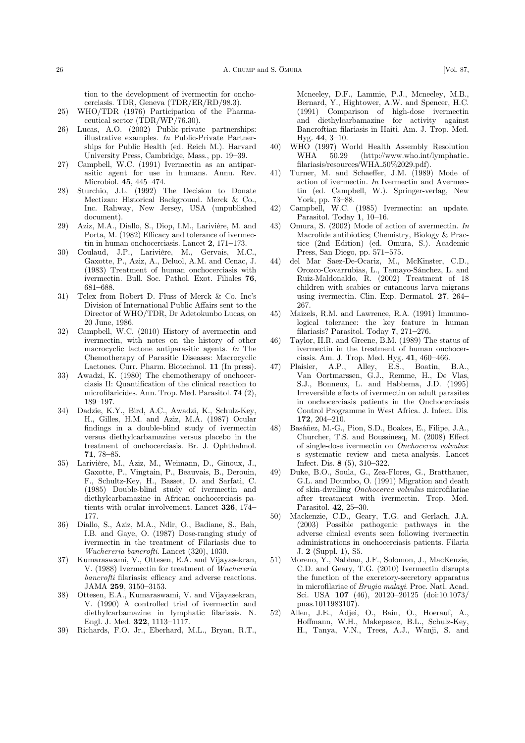tion to the development of ivermectin for onchocerciasis. TDR, Geneva (TDR/ER/RD/98.3).

- 25) WHO/TDR (1976) Participation of the Pharmaceutical sector (TDR/WP/76.30).
- 26) Lucas, A.O. (2002) Public-private partnerships: illustrative examples. In Public-Private Partnerships for Public Health (ed. Reich M.). Harvard University Press, Cambridge, Mass., pp. 19–39.
- 27) Campbell, W.C. (1991) Ivermectin as an antiparasitic agent for use in humans. Annu. Rev. Microbiol. 45, 445–474.
- 28) Sturchio, J.L. (1992) The Decision to Donate Mectizan: Historical Background. Merck & Co., Inc. Rahway, New Jersey, USA (unpublished document).
- 29) Aziz, M.A., Diallo, S., Diop, I.M., Larivière, M. and Porta, M. (1982) Efficacy and tolerance of ivermectin in human onchocerciasis. Lancet 2, 171–173.
- 30) Coulaud, J.P., Larivière, M., Gervais, M.C., Gaxotte, P., Aziz, A., Deluol, A.M. and Cenac, J. (1983) Treatment of human onchocerciasis with ivermectin. Bull. Soc. Pathol. Exot. Filiales 76, 681–688.
- 31) Telex from Robert D. Fluss of Merck & Co. Inc's Division of International Public Affairs sent to the Director of WHO/TDR, Dr Adetokunbo Lucas, on 20 June, 1986.
- 32) Campbell, W.C. (2010) History of avermectin and ivermectin, with notes on the history of other macrocyclic lactone antiparasitic agents. In The Chemotherapy of Parasitic Diseases: Macrocyclic Lactones. Curr. Pharm. Biotechnol. 11 (In press).
- 33) Awadzi, K. (1980) The chemotherapy of onchocerciasis II: Quantification of the clinical reaction to microfilaricides. Ann. Trop. Med. Parasitol. 74 (2), 189–197.
- 34) Dadzie, K.Y., Bird, A.C., Awadzi, K., Schulz-Key, H., Gilles, H.M. and Aziz, M.A. (1987) Ocular findings in a double-blind study of ivermectin versus diethylcarbamazine versus placebo in the treatment of onchocerciasis. Br. J. Ophthalmol. 71, 78–85.
- 35) Larivière, M., Aziz, M., Weimann, D., Ginoux, J., Gaxotte, P., Vingtain, P., Beauvais, B., Derouin, F., Schultz-Key, H., Basset, D. and Sarfati, C. (1985) Double-blind study of ivermectin and diethylcarbamazine in African onchocerciasis patients with ocular involvement. Lancet 326, 174– 177.
- 36) Diallo, S., Aziz, M.A., Ndir, O., Badiane, S., Bah, I.B. and Gaye, O. (1987) Dose-ranging study of ivermectin in the treatment of Filariasis due to Wuchereria bancrofti. Lancet (320), 1030.
- 37) Kumaraswami, V., Ottesen, E.A. and Vijayasekran, V. (1988) Ivermectin for treatment of Wuchereria bancrofti filariasis: efficacy and adverse reactions. JAMA 259, 3150–3153.
- 38) Ottesen, E.A., Kumaraswami, V. and Vijayasekran, V. (1990) A controlled trial of ivermectin and diethylcarbamazine in lymphatic filariasis. N. Engl. J. Med. 322, 1113–1117.
- 39) Richards, F.O. Jr., Eberhard, M.L., Bryan, R.T.,

Mcneeley, D.F., Lammie, P.J., Mcneeley, M.B., Bernard, Y., Hightower, A.W. and Spencer, H.C. (1991) Comparison of high-dose ivermectin and diethylcarbamazine for activity against Bancroftian filariasis in Haiti. Am. J. Trop. Med. Hyg. 44, 3–10.

- 40) WHO (1997) World Health Assembly Resolution WHA 50.29 (http://www.who.int/lymphatic\_ filariasis/resources/WHA\_50%2029.pdf).
- 41) Turner, M. and Schaeffer, J.M. (1989) Mode of action of ivermectin. In Ivermectin and Avermectin (ed. Campbell, W.). Springer-verlag, New York, pp. 73–88.
- 42) Campbell, W.C. (1985) Ivermectin: an update. Parasitol. Today 1, 10-16.
- 43) Omura, S. (2002) Mode of action of avermectin. In Macrolide antibiotics; Chemistry, Biology & Practice (2nd Edition) (ed. Omura, S.). Academic Press, San Diego, pp. 571–575.
- 44) del Mar Saez-De-Ocariz, M., McKinster, C.D., Orozco-Covarrubias, L., Tamayo-Sánchez, L. and Ruiz-Maldonaldo, R. (2002) Treatment of 18 children with scabies or cutaneous larva migrans using ivermectin. Clin. Exp. Dermatol. 27, 264– 267.
- 45) Maizels, R.M. and Lawrence, R.A. (1991) Immunological tolerance: the key feature in human filariasis? Parasitol. Today 7, 271–276.
- 46) Taylor, H.R. and Greene, B.M. (1989) The status of ivermectin in the treatment of human onchocerciasis. Am. J. Trop. Med. Hyg. 41, 460–466.
- 47) Plaisier, A.P., Alley, E.S., Boatin, B.A., Van Oortmarssen, G.J., Remme, H., De Vlas, S.J., Bonneux, L. and Habbema, J.D. (1995) Irreversible effects of ivermectin on adult parasites in onchocerciasis patients in the Onchocerciasis Control Programme in West Africa. J. Infect. Dis. 172, 204–210.
- 48) Basáñez, M.-G., Pion, S.D., Boakes, E., Filipe, J.A., Churcher, T.S. and Boussinesq, M. (2008) Effect of single-dose ivermectin on Onchocerca volvulus: s systematic review and meta-analysis. Lancet Infect. Dis. 8 (5), 310–322.
- 49) Duke, B.O., Soula, G., Zea-Flores, G., Bratthauer, G.L. and Doumbo, O. (1991) Migration and death of skin-dwelling Onchocerca volvulus microfilariae after treatment with ivermectin. Trop. Med. Parasitol. 42, 25–30.
- 50) Mackenzie, C.D., Geary, T.G. and Gerlach, J.A. (2003) Possible pathogenic pathways in the adverse clinical events seen following ivermectin administrations in onchocerciasis patients. Filaria J. 2 (Suppl. 1), S5.
- 51) Moreno, Y., Nabhan, J.F., Solomon, J., MacKenzie, C.D. and Geary, T.G. (2010) Ivermectin disrupts the function of the excretory-secretory apparatus in microfilariae of Brugia malayi. Proc. Natl. Acad. Sci. USA 107 (46), 20120–20125 (doi:10.1073/ pnas.1011983107).
- 52) Allen, J.E., Adjei, O., Bain, O., Hoerauf, A., Hoffmann, W.H., Makepeace, B.L., Schulz-Key, H., Tanya, V.N., Trees, A.J., Wanji, S. and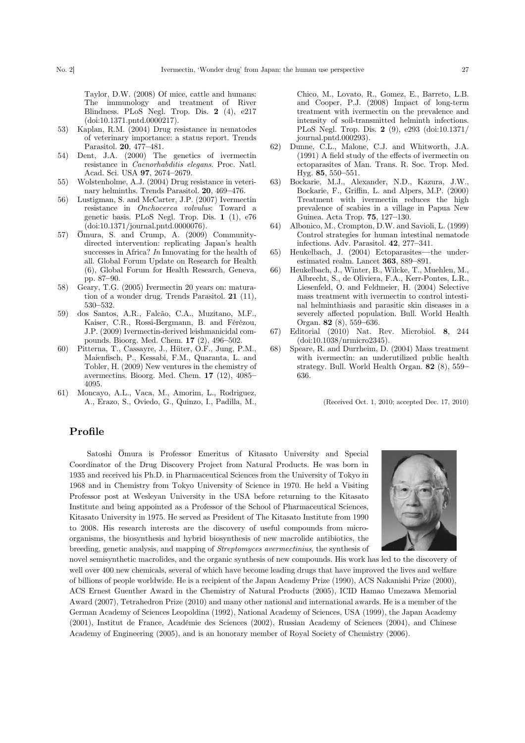Taylor, D.W. (2008) Of mice, cattle and humans: The immunology and treatment of River Blindness. PLoS Negl. Trop. Dis. 2 (4), e217 (doi:10.1371.pntd.0000217).

- 53) Kaplan, R.M. (2004) Drug resistance in nematodes of veterinary importance: a status report. Trends Parasitol. 20, 477–481.
- 54) Dent, J.A. (2000) The genetics of ivermectin resistance in Caenorhabditis elegans. Proc. Natl. Acad. Sci. USA 97, 2674–2679.
- 55) Wolstenholme, A.J. (2004) Drug resistance in veterinary helminths. Trends Parasitol. 20, 469–476.
- 56) Lustigman, S. and McCarter, J.P. (2007) Ivermectin resistance in Onchocerca volvulus: Toward a genetic basis. PLoS Negl. Trop. Dis. 1 (1), e76 (doi:10.1371/journal.pntd.0000076).
- 57) Ōmura, S. and Crump, A. (2009) Communitydirected intervention: replicating Japan's health successes in Africa? In Innovating for the health of all. Global Forum Update on Research for Health (6), Global Forum for Health Research, Geneva, pp. 87–90.
- 58) Geary, T.G. (2005) Ivermectin 20 years on: maturation of a wonder drug. Trends Parasitol. 21 (11), 530–532.
- 59) dos Santos, A.R., Falcão, C.A., Muzitano, M.F., Kaiser, C.R., Rossi-Bergmann, B. and Férézou, J.P. (2009) Ivermectin-derived leishmanicidal compounds. Bioorg. Med. Chem. 17 (2), 496–502.
- 60) Pitterna, T., Cassayre, J., Hüter, O.F., Jung, P.M., Maienfisch, P., Kessabi, F.M., Quaranta, L. and Tobler, H. (2009) New ventures in the chemistry of avermectins. Bioorg. Med. Chem. 17 (12), 4085– 4095.
- 61) Moncayo, A.L., Vaca, M., Amorim, L., Rodriguez, A., Erazo, S., Oviedo, G., Quinzo, I., Padilla, M.,

Chico, M., Lovato, R., Gomez, E., Barreto, L.B. and Cooper, P.J. (2008) Impact of long-term treatment with ivermectin on the prevalence and intensity of soil-transmitted helminth infections. PLoS Negl. Trop. Dis. 2 (9), e293 (doi:10.1371/ journal.pntd.000293).

- 62) Dunne, C.L., Malone, C.J. and Whitworth, J.A. (1991) A field study of the effects of ivermectin on ectoparasites of Man. Trans. R. Soc. Trop. Med. Hyg. 85, 550–551.
- 63) Bockarie, M.J., Alexander, N.D., Kazura, J.W., Bockarie, F., Griffin, L. and Alpers, M.P. (2000) Treatment with ivermectin reduces the high prevalence of scabies in a village in Papua New Guinea. Acta Trop. 75, 127–130.
- 64) Albonico, M., Crompton, D.W. and Savioli, L. (1999) Control strategies for human intestinal nematode infections. Adv. Parasitol. 42, 277–341.
- 65) Heukelbach, J. (2004) Ectoparasites—the underestimated realm. Lancet 363, 889–891.
- 66) Heukelbach, J., Winter, B., Wilcke, T., Muehlen, M., Albrecht, S., de Oliviera, F.A., Kerr-Pontes, L.R., Liesenfeld, O. and Feldmeier, H. (2004) Selective mass treatment with ivermectin to control intestinal helminthiasis and parasitic skin diseases in a severely affected population. Bull. World Health Organ. 82 (8), 559–636.
- 67) Editorial (2010) Nat. Rev. Microbiol. 8, 244 (doi:10.1038/nrmicro2345).
- 68) Speare, R. and Durrheim, D. (2004) Mass treatment with ivermectin: an underutilized public health strategy. Bull. World Health Organ. 82 (8), 559– 636.

(Received Oct. 1, 2010; accepted Dec. 17, 2010)

# Profile

Satoshi Ōmura is Professor Emeritus of Kitasato University and Special Coordinator of the Drug Discovery Project from Natural Products. He was born in 1935 and received his Ph.D. in Pharmaceutical Sciences from the University of Tokyo in 1968 and in Chemistry from Tokyo University of Science in 1970. He held a Visiting Professor post at Wesleyan University in the USA before returning to the Kitasato Institute and being appointed as a Professor of the School of Pharmaceutical Sciences, Kitasato University in 1975. He served as President of The Kitasato Institute from 1990 to 2008. His research interests are the discovery of useful compounds from microorganisms, the biosynthesis and hybrid biosynthesis of new macrolide antibiotics, the breeding, genetic analysis, and mapping of Streptomyces avermectinius, the synthesis of

novel semisynthetic macrolides, and the organic synthesis of new compounds. His work has led to the discovery of well over 400 new chemicals, several of which have become leading drugs that have improved the lives and welfare of billions of people worldwide. He is a recipient of the Japan Academy Prize (1990), ACS Nakanishi Prize (2000), ACS Ernest Guenther Award in the Chemistry of Natural Products (2005), ICID Hamao Umezawa Memorial Award (2007), Tetrahedron Prize (2010) and many other national and international awards. He is a member of the German Academy of Sciences Leopoldina (1992), National Academy of Sciences, USA (1999), the Japan Academy (2001), Institut de France, Académie des Sciences (2002), Russian Academy of Sciences (2004), and Chinese Academy of Engineering (2005), and is an honorary member of Royal Society of Chemistry (2006).